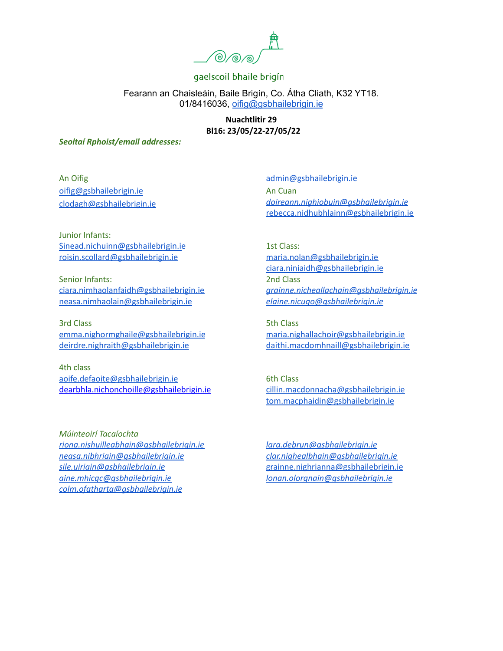

Fearann an Chaisleáin, Baile Brigín, Co. Átha Cliath, K32 YT18. 01/8416036, [oifig@gsbhailebrigin.ie](mailto:oifig@gsbhailebrigin.ie)

> **Nuachtlitir 29 Bl16: 23/05/22-27/05/22**

*Seoltaí Rphoist/email addresses:*

An Oifig [oifig@gsbhailebrigin.ie](mailto:oifig@gsbhailebrigin.ie) [clodagh@gsbhailebrigin.ie](mailto:clodagh@gsbhailebrigin.ie)

[admin@gsbhailebrigin.ie](mailto:admin@gsbhailebrigin.ie) An Cuan *[doireann.nighiobuin@gsbhailebrigin.ie](mailto:doireann.nighiobuin@gsbhailebrigin.ie)* [rebecca.nidhubhlainn@gsbhailebrigin.ie](mailto:rebecca.nidhubhlainn@gsbhailebrigin.ie)

Junior Infants: [Sinead.nichuinn@gsbhailebrigin.ie](mailto:Sinead.nichuinn@gsbhailebrigin.ie) [roisin.scollard@gsbhailebrigin.ie](mailto:roisin.scollard@gsbhailebrigin.ie)

Senior Infants: [ciara.nimhaolanfaidh@gsbhailebrigin.ie](mailto:ciara.nimhaolanfaidh@gsbhailebrigin.ie) [neasa.nimhaolain@gsbhailebrigin.ie](mailto:neasa.nimhaolain@gsbhailebrigin.ie)

3rd Class [emma.nighormghaile@gsbhailebrigin.ie](mailto:emma.nighormghaile@gsbhailebrigin.ie) [deirdre.nighraith@gsbhailebrigin.ie](mailto:deirdre.nighraith@gsbhailebrigin.ie)

4th class [aoife.defaoite@gsbhailebrigin.ie](mailto:aoife.defaoite@gsbhailebrigin.ie) dearbhla.nichonchoille@gsbhailebrigin.ie

*Múinteoirí Tacaíochta [riona.nishuilleabhain@gsbhailebrigin.ie](mailto:riona.nishuilleabhain@gsbhailebrigin.ie) [neasa.nibhriain@gsbhailebrigin.ie](mailto:neasa.nibhriain@gsbhailebrigin.ie) [sile.uiriain@gsbhailebrigin.ie](mailto:sile.uiriain@gsbhailebrigin.ie) [aine.mhicgc@gsbhailebrigin.ie](mailto:aine.mhicgc@gsbhailebrigin.ie) [colm.ofatharta@gsbhailebrigin.ie](mailto:colm.ofatharta@gsbhailebrigin.ie)*

1st Class: [maria.nolan@gsbhailebrigin.ie](mailto:maria.nolan@gsbhailebrigin.ie) [ciara.niniaidh@gsbhailebrigin.ie](mailto:ciara.niniaidh@gsbhailebrigin.ie) 2nd Class *[grainne.nicheallachain@gsbhailebrigin.ie](mailto:grainne.nicheallachain@gsbhailebrigin.ie) [elaine.nicugo@gsbhailebrigin.ie](mailto:elaine.nicugo@gsbhailebrigin.ie)*

5th Class [maria.nighallachoir@gsbhailebrigin.ie](mailto:maria.nighallachoir@gsbhailebrigin.ie) [daithi.macdomhnaill@gsbhailebrigin.ie](mailto:daithi.macdomhnaill@gsbhailebrigin.ie)

6th Class [cillin.macdonnacha@gsbhailebrigin.ie](mailto:cillin.macdonnacha@gsbhailebrigin.ie) [tom.macphaidin@gsbhailebrigin.ie](mailto:tom.macphaidin@gsbhailebrigin.ie)

*[lara.debrun@gsbhailebrigin.ie](mailto:lara.debrun@gsbhailebrigin.ie) [clar.nighealbhain@gsbhailebrigin.ie](mailto:clar.nighealbhain@gsbhailebrigin.ie)* [grainne.nighrianna@gsbhailebrigin.ie](mailto:grainne.nighrianna@gsbhailebrigin.ie) *[lonan.olorgnain@gsbhailebrigin.ie](mailto:lonan.olorgnain@gsbhailebrigin.ie)*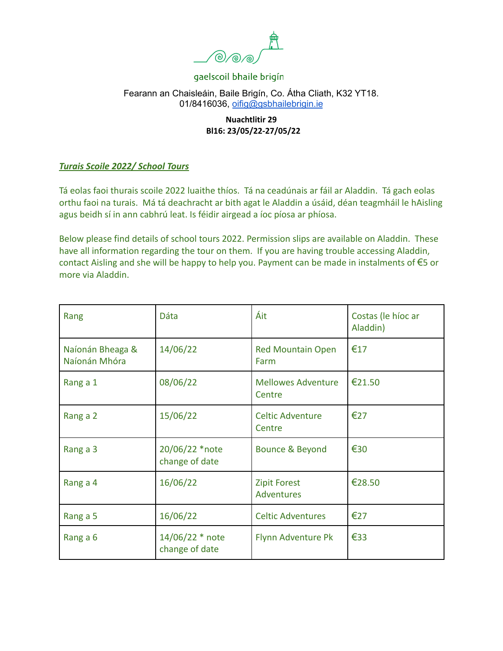

# Fearann an Chaisleáin, Baile Brigín, Co. Átha Cliath, K32 YT18. 01/8416036, [oifig@gsbhailebrigin.ie](mailto:oifig@gsbhailebrigin.ie)

# **Nuachtlitir 29 Bl16: 23/05/22-27/05/22**

# *Turais Scoile 2022/ School Tours*

Tá eolas faoi thurais scoile 2022 luaithe thíos. Tá na ceadúnais ar fáil ar Aladdin. Tá gach eolas orthu faoi na turais. Má tá deachracht ar bith agat le Aladdin a úsáid, déan teagmháil le hAisling agus beidh sí in ann cabhrú leat. Is féidir airgead a íoc píosa ar phíosa.

Below please find details of school tours 2022. Permission slips are available on Aladdin. These have all information regarding the tour on them. If you are having trouble accessing Aladdin, contact Aisling and she will be happy to help you. Payment can be made in instalments of €5 or more via Aladdin.

| Rang                              | Dáta                              | Áit                                      | Costas (le híoc ar<br>Aladdin) |
|-----------------------------------|-----------------------------------|------------------------------------------|--------------------------------|
| Naíonán Bheaga &<br>Naíonán Mhóra | 14/06/22                          | <b>Red Mountain Open</b><br>Farm         | €17                            |
| Rang a 1                          | 08/06/22                          | <b>Mellowes Adventure</b><br>Centre      | €21.50                         |
| Rang a 2                          | 15/06/22                          | <b>Celtic Adventure</b><br>Centre        | €27                            |
| Rang a 3                          | 20/06/22 *note<br>change of date  | Bounce & Beyond                          | €30                            |
| Rang a 4                          | 16/06/22                          | <b>Zipit Forest</b><br><b>Adventures</b> | €28.50                         |
| Rang a 5                          | 16/06/22                          | <b>Celtic Adventures</b>                 | €27                            |
| Rang a 6                          | 14/06/22 * note<br>change of date | Flynn Adventure Pk                       | €33                            |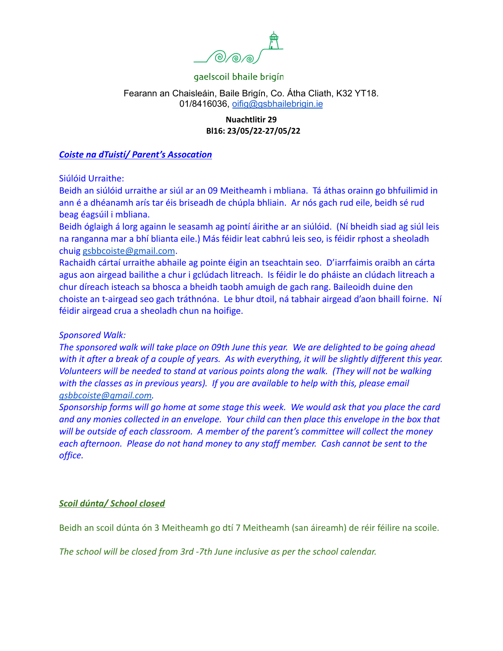

## Fearann an Chaisleáin, Baile Brigín, Co. Átha Cliath, K32 YT18. 01/8416036, [oifig@gsbhailebrigin.ie](mailto:oifig@gsbhailebrigin.ie)

## **Nuachtlitir 29 Bl16: 23/05/22-27/05/22**

#### *Coiste na dTuistí/ Parent's Assocation*

Siúlóid Urraithe:

Beidh an siúlóid urraithe ar siúl ar an 09 Meitheamh i mbliana. Tá áthas orainn go bhfuilimid in ann é a dhéanamh arís tar éis briseadh de chúpla bhliain. Ar nós gach rud eile, beidh sé rud beag éagsúil i mbliana.

Beidh óglaigh á lorg againn le seasamh ag pointí áirithe ar an siúlóid. (Ní bheidh siad ag siúl leis na ranganna mar a bhí blianta eile.) Más féidir leat cabhrú leis seo, is féidir rphost a sheoladh chuig [gsbbcoiste@gmail.com](mailto:gsbbcoiste@gmail.com).

Rachaidh cártaí urraithe abhaile ag pointe éigin an tseachtain seo. D'iarrfaimis oraibh an cárta agus aon airgead bailithe a chur i gclúdach litreach. Is féidir le do pháiste an clúdach litreach a chur díreach isteach sa bhosca a bheidh taobh amuigh de gach rang. Baileoidh duine den choiste an t-airgead seo gach tráthnóna. Le bhur dtoil, ná tabhair airgead d'aon bhaill foirne. Ní féidir airgead crua a sheoladh chun na hoifige.

# *Sponsored Walk:*

*The sponsored walk will take place on 09th June this year. We are delighted to be going ahead with it after a break of a couple of years. As with everything, it will be slightly different this year. Volunteers will be needed to stand at various points along the walk. (They will not be walking with the classes as in previous years). If you are available to help with this, please email [gsbbcoiste@gmail.com.](mailto:gsbbcoiste@gmail.com)*

*Sponsorship forms will go home at some stage this week. We would ask that you place the card and any monies collected in an envelope. Your child can then place this envelope in the box that will be outside of each classroom. A member of the parent's committee will collect the money each afternoon. Please do not hand money to any staff member. Cash cannot be sent to the office.*

# *Scoil dúnta/ School closed*

Beidh an scoil dúnta ón 3 Meitheamh go dtí 7 Meitheamh (san áireamh) de réir féilire na scoile.

*The school will be closed from 3rd -7th June inclusive as per the school calendar.*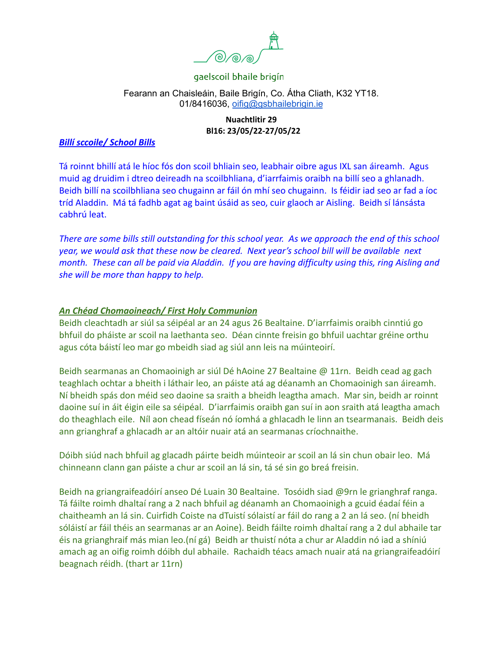

# Fearann an Chaisleáin, Baile Brigín, Co. Átha Cliath, K32 YT18. 01/8416036, [oifig@gsbhailebrigin.ie](mailto:oifig@gsbhailebrigin.ie)

## **Nuachtlitir 29 Bl16: 23/05/22-27/05/22**

## *Billí sccoile/ School Bills*

Tá roinnt bhillí atá le híoc fós don scoil bhliain seo, leabhair oibre agus IXL san áireamh. Agus muid ag druidim i dtreo deireadh na scoilbhliana, d'iarrfaimis oraibh na billí seo a ghlanadh. Beidh billí na scoilbhliana seo chugainn ar fáil ón mhí seo chugainn. Is féidir iad seo ar fad a íoc tríd Aladdin. Má tá fadhb agat ag baint úsáid as seo, cuir glaoch ar Aisling. Beidh sí lánsásta cabhrú leat.

*There are some bills still outstanding for this school year. As we approach the end of this school year, we would ask that these now be cleared. Next year's school bill will be available next month. These can all be paid via Aladdin. If you are having difficulty using this, ring Aisling and she will be more than happy to help.*

## *An Chéad Chomaoineach/ First Holy Communion*

Beidh cleachtadh ar siúl sa séipéal ar an 24 agus 26 Bealtaine. D'iarrfaimis oraibh cinntiú go bhfuil do pháiste ar scoil na laethanta seo. Déan cinnte freisin go bhfuil uachtar gréine orthu agus cóta báistí leo mar go mbeidh siad ag siúl ann leis na múinteoirí.

Beidh searmanas an Chomaoinigh ar siúl Dé hAoine 27 Bealtaine @ 11rn. Beidh cead ag gach teaghlach ochtar a bheith i láthair leo, an páiste atá ag déanamh an Chomaoinigh san áireamh. Ní bheidh spás don méid seo daoine sa sraith a bheidh leagtha amach. Mar sin, beidh ar roinnt daoine suí in áit éigin eile sa séipéal. D'iarrfaimis oraibh gan suí in aon sraith atá leagtha amach do theaghlach eile. Níl aon chead físeán nó íomhá a ghlacadh le linn an tsearmanais. Beidh deis ann grianghraf a ghlacadh ar an altóir nuair atá an searmanas críochnaithe.

Dóibh siúd nach bhfuil ag glacadh páirte beidh múinteoir ar scoil an lá sin chun obair leo. Má chinneann clann gan páiste a chur ar scoil an lá sin, tá sé sin go breá freisin.

Beidh na griangraifeadóirí anseo Dé Luain 30 Bealtaine. Tosóidh siad @9rn le grianghraf ranga. Tá fáilte roimh dhaltaí rang a 2 nach bhfuil ag déanamh an Chomaoinigh a gcuid éadaí féin a chaitheamh an lá sin. Cuirfidh Coiste na dTuistí sólaistí ar fáil do rang a 2 an lá seo. (ní bheidh sóláistí ar fáil théis an searmanas ar an Aoine). Beidh fáilte roimh dhaltaí rang a 2 dul abhaile tar éis na grianghraif más mian leo.(ní gá) Beidh ar thuistí nóta a chur ar Aladdin nó iad a shíniú amach ag an oifig roimh dóibh dul abhaile. Rachaidh téacs amach nuair atá na griangraifeadóirí beagnach réidh. (thart ar 11rn)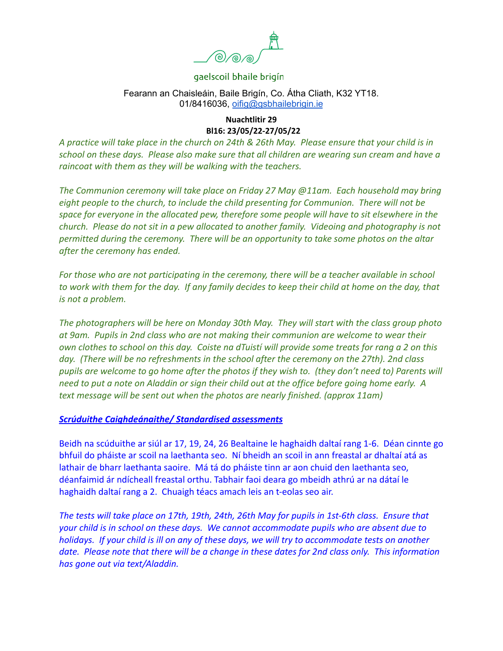

## Fearann an Chaisleáin, Baile Brigín, Co. Átha Cliath, K32 YT18. 01/8416036, [oifig@gsbhailebrigin.ie](mailto:oifig@gsbhailebrigin.ie)

#### **Nuachtlitir 29 Bl16: 23/05/22-27/05/22**

*A practice will take place in the church on 24th & 26th May. Please ensure that your child is in school on these days. Please also make sure that all children are wearing sun cream and have a raincoat with them as they will be walking with the teachers.*

*The Communion ceremony will take place on Friday 27 May @11am. Each household may bring eight people to the church, to include the child presenting for Communion. There will not be space for everyone in the allocated pew, therefore some people will have to sit elsewhere in the church. Please do not sit in a pew allocated to another family. Videoing and photography is not permitted during the ceremony. There will be an opportunity to take some photos on the altar after the ceremony has ended.*

*For those who are not participating in the ceremony, there will be a teacher available in school to work with them for the day. If any family decides to keep their child at home on the day, that is not a problem.*

*The photographers will be here on Monday 30th May. They will start with the class group photo at 9am. Pupils in 2nd class who are not making their communion are welcome to wear their own clothes to school on this day. Coiste na dTuistí will provide some treats for rang a 2 on this day. (There will be no refreshments in the school after the ceremony on the 27th). 2nd class pupils are welcome to go home after the photos if they wish to. (they don't need to) Parents will need to put a note on Aladdin or sign their child out at the office before going home early. A text message will be sent out when the photos are nearly finished. (approx 11am)*

#### *Scrúduithe Caighdeánaithe/ Standardised assessments*

Beidh na scúduithe ar siúl ar 17, 19, 24, 26 Bealtaine le haghaidh daltaí rang 1-6. Déan cinnte go bhfuil do pháiste ar scoil na laethanta seo. Ní bheidh an scoil in ann freastal ar dhaltaí atá as lathair de bharr laethanta saoire. Má tá do pháiste tinn ar aon chuid den laethanta seo, déanfaimid ár ndícheall freastal orthu. Tabhair faoi deara go mbeidh athrú ar na dátaí le haghaidh daltaí rang a 2. Chuaigh téacs amach leis an t-eolas seo air.

*The tests will take place on 17th, 19th, 24th, 26th May for pupils in 1st-6th class. Ensure that your child is in school on these days. We cannot accommodate pupils who are absent due to holidays. If your child is ill on any of these days, we will try to accommodate tests on another date. Please note that there will be a change in these dates for 2nd class only. This information has gone out via text/Aladdin.*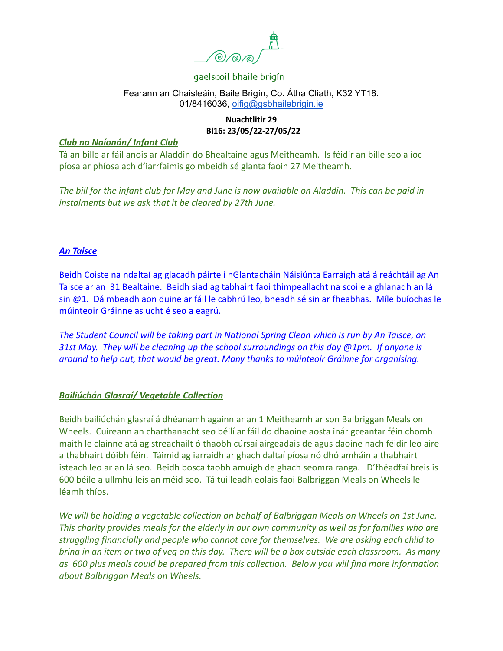

## Fearann an Chaisleáin, Baile Brigín, Co. Átha Cliath, K32 YT18. 01/8416036, [oifig@gsbhailebrigin.ie](mailto:oifig@gsbhailebrigin.ie)

# **Nuachtlitir 29 Bl16: 23/05/22-27/05/22**

## *Club na Naíonán/ Infant Club*

Tá an bille ar fáil anois ar Aladdin do Bhealtaine agus Meitheamh. Is féidir an bille seo a íoc píosa ar phíosa ach d'iarrfaimis go mbeidh sé glanta faoin 27 Meitheamh.

*The bill for the infant club for May and June is now available on Aladdin. This can be paid in instalments but we ask that it be cleared by 27th June.*

# *An Taisce*

Beidh Coiste na ndaltaí ag glacadh páirte i nGlantacháin Náisiúnta Earraigh atá á reáchtáil ag An Taisce ar an 31 Bealtaine. Beidh siad ag tabhairt faoi thimpeallacht na scoile a ghlanadh an lá sin @1. Dá mbeadh aon duine ar fáil le cabhrú leo, bheadh sé sin ar fheabhas. Míle buíochas le múinteoir Gráinne as ucht é seo a eagrú.

*The Student Council will be taking part in National Spring Clean which is run by An Taisce, on 31st May. They will be cleaning up the school surroundings on this day @1pm. If anyone is around to help out, that would be great. Many thanks to múinteoir Gráinne for organising.*

# *Bailiúchán Glasraí/ Vegetable Collection*

Beidh bailiúchán glasraí á dhéanamh againn ar an 1 Meitheamh ar son Balbriggan Meals on Wheels. Cuireann an charthanacht seo béilí ar fáil do dhaoine aosta inár gceantar féin chomh maith le clainne atá ag streachailt ó thaobh cúrsaí airgeadais de agus daoine nach féidir leo aire a thabhairt dóibh féin. Táimid ag iarraidh ar ghach daltaí píosa nó dhó amháin a thabhairt isteach leo ar an lá seo. Beidh bosca taobh amuigh de ghach seomra ranga. D'fhéadfaí breis is 600 béile a ullmhú leis an méid seo. Tá tuilleadh eolais faoi Balbriggan Meals on Wheels le léamh thíos.

*We will be holding a vegetable collection on behalf of Balbriggan Meals on Wheels on 1st June. This charity provides meals for the elderly in our own community as well as for families who are struggling financially and people who cannot care for themselves. We are asking each child to bring in an item or two of veg on this day. There will be a box outside each classroom. As many as 600 plus meals could be prepared from this collection. Below you will find more information about Balbriggan Meals on Wheels.*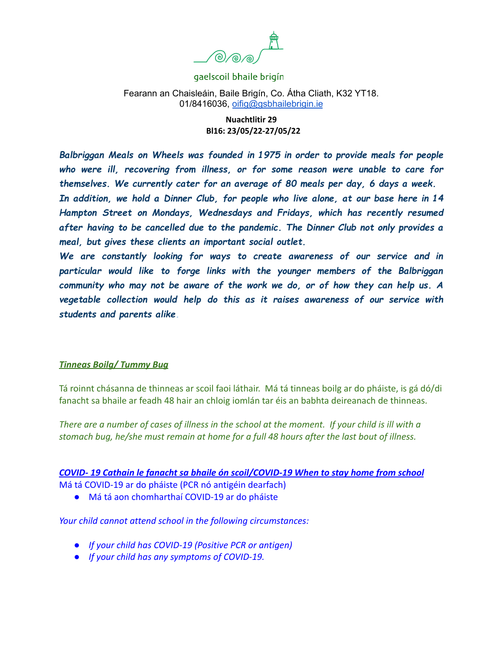

Fearann an Chaisleáin, Baile Brigín, Co. Átha Cliath, K32 YT18. 01/8416036, [oifig@gsbhailebrigin.ie](mailto:oifig@gsbhailebrigin.ie)

> **Nuachtlitir 29 Bl16: 23/05/22-27/05/22**

*Balbriggan Meals on Wheels was founded in 1975 in order to provide meals for people who were ill, recovering from illness, or for some reason were unable to care for themselves. We currently cater for an average of 80 meals per day, 6 days a week. In addition, we hold a Dinner Club, for people who live alone, at our base here in 14 Hampton Street on Mondays, Wednesdays and Fridays, which has recently resumed after having to be cancelled due to the pandemic. The Dinner Club not only provides a meal, but gives these clients an important social outlet.*

*We are constantly looking for ways to create awareness of our service and in particular would like to forge links with the younger members of the Balbriggan community who may not be aware of the work we do, or of how they can help us. A vegetable collection would help do this as it raises awareness of our service with students and parents alike.*

#### *Tinneas Boilg/ Tummy Bug*

Tá roinnt chásanna de thinneas ar scoil faoi láthair. Má tá tinneas boilg ar do pháiste, is gá dó/di fanacht sa bhaile ar feadh 48 hair an chloig iomlán tar éis an babhta deireanach de thinneas.

*There are a number of cases of illness in the school at the moment. If your child is ill with a stomach bug, he/she must remain at home for a full 48 hours after the last bout of illness.*

#### *COVID- 19 Cathain le fanacht sa bhaile ón scoil/COVID-19 When to stay home from school*

Má tá COVID-19 ar do pháiste (PCR nó antigéin dearfach)

● Má tá aon chomharthaí COVID-19 ar do pháiste

*Your child cannot attend school in the following circumstances:*

- *● If your child has COVID-19 (Positive PCR or antigen)*
- *● If your child has any symptoms of COVID-19.*